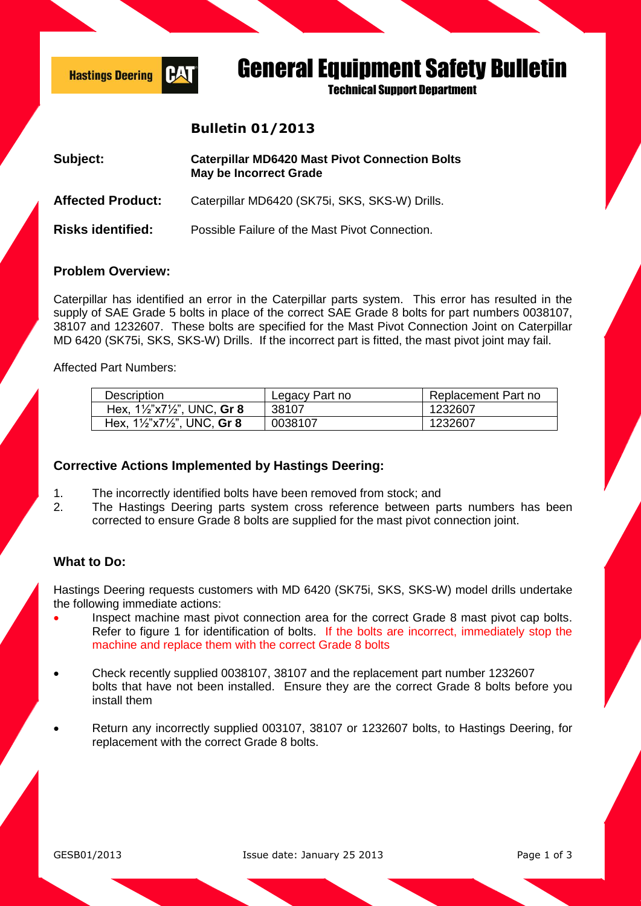

# General Equipment Safety Bulletin

**Technical Sunnort Department** 

## **Bulletin 01/2013**

| Subject:                 | <b>Caterpillar MD6420 Mast Pivot Connection Bolts</b><br><b>May be Incorrect Grade</b> |  |
|--------------------------|----------------------------------------------------------------------------------------|--|
| <b>Affected Product:</b> | Caterpillar MD6420 (SK75i, SKS, SKS-W) Drills.                                         |  |
| <b>Risks identified:</b> | Possible Failure of the Mast Pivot Connection.                                         |  |

### **Problem Overview:**

Caterpillar has identified an error in the Caterpillar parts system. This error has resulted in the supply of SAE Grade 5 bolts in place of the correct SAE Grade 8 bolts for part numbers 0038107, 38107 and 1232607. These bolts are specified for the Mast Pivot Connection Joint on Caterpillar MD 6420 (SK75i, SKS, SKS-W) Drills. If the incorrect part is fitted, the mast pivot joint may fail.

Affected Part Numbers:

| <b>Description</b>                               | Legacy Part no | Replacement Part no |
|--------------------------------------------------|----------------|---------------------|
| Hex, $1\frac{1}{2}$ x7 $\frac{1}{2}$ , UNC, Gr 8 | 38107          | 1232607             |
| Hex, $1\frac{1}{2}$ x7 $\frac{1}{2}$ , UNC, Gr 8 | 0038107        | 1232607             |

### **Corrective Actions Implemented by Hastings Deering:**

- 1. The incorrectly identified bolts have been removed from stock; and
- 2. The Hastings Deering parts system cross reference between parts numbers has been corrected to ensure Grade 8 bolts are supplied for the mast pivot connection joint.

### **What to Do:**

Hastings Deering requests customers with MD 6420 (SK75i, SKS, SKS-W) model drills undertake the following immediate actions:

- Inspect machine mast pivot connection area for the correct Grade 8 mast pivot cap bolts. Refer to figure 1 for identification of bolts. If the bolts are incorrect, immediately stop the machine and replace them with the correct Grade 8 bolts
- Check recently supplied 0038107, 38107 and the replacement part number 1232607 bolts that have not been installed. Ensure they are the correct Grade 8 bolts before you install them
- Return any incorrectly supplied 003107, 38107 or 1232607 bolts, to Hastings Deering, for replacement with the correct Grade 8 bolts.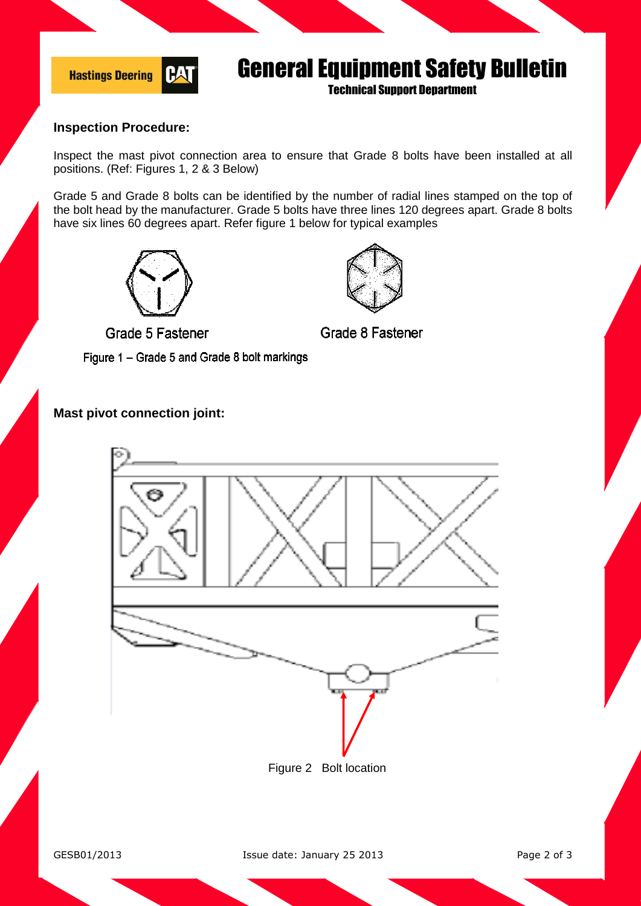

## General Equipment Safety Bulletin

Technical Support Department

### **Inspection Procedure:**

Inspect the mast pivot connection area to ensure that Grade 8 bolts have been installed at all positions. (Ref: Figures 1, 2 & 3 Below)

Grade 5 and Grade 8 bolts can be identified by the number of radial lines stamped on the top of the bolt head by the manufacturer. Grade 5 bolts have three lines 120 degrees apart. Grade 8 bolts have six lines 60 degrees apart. Refer figure 1 below for typical examples





Grade 8 Fastener

Grade 5 Fastener

Figure 1 - Grade 5 and Grade 8 bolt markings

### **Mast pivot connection joint:**